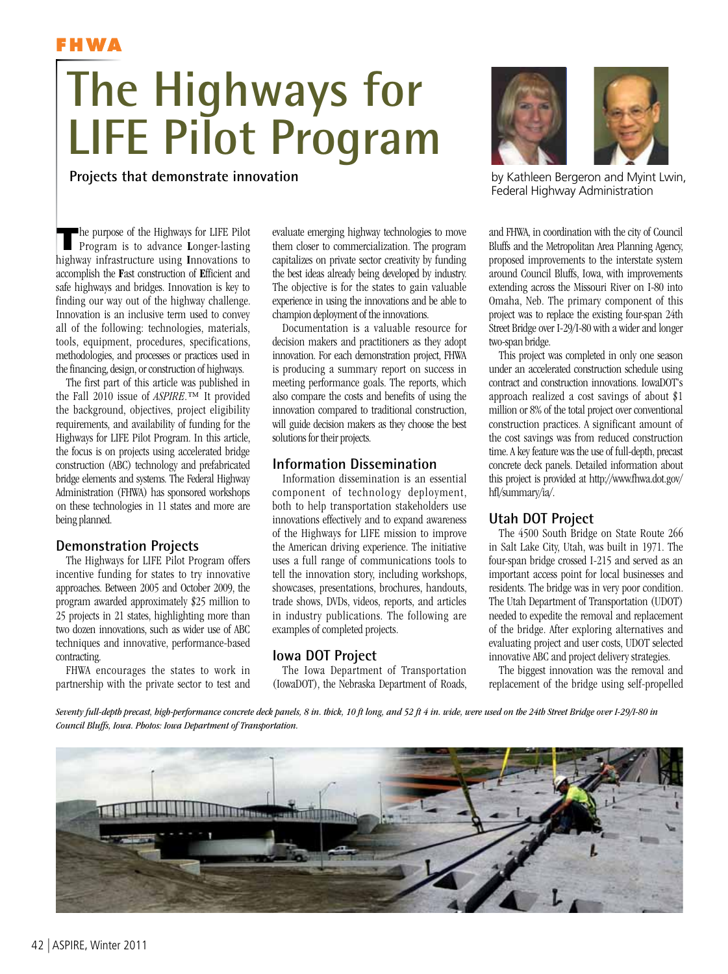

# **The Highways for LIFE Pilot Program**

# **Projects that demonstrate innovation**

**T**he purpose of the Highways for LIFE Pilot Program is to advance **L**onger-lasting highway infrastructure using Innovations to accomplish the Fast construction of Efficient and safe highways and bridges. Innovation is key to finding our way out of the highway challenge. Innovation is an inclusive term used to convey all of the following: technologies, materials, tools, equipment, procedures, specifications, methodologies, and processes or practices used in the financing, design, or construction of highways.

The first part of this article was published in the Fall 2010 issue of *ASPIRE*.™ It provided the background, objectives, project eligibility requirements, and availability of funding for the Highways for LIFE Pilot Program. In this article, the focus is on projects using accelerated bridge construction (ABC) technology and prefabricated bridge elements and systems. The Federal Highway Administration (FHWA) has sponsored workshops on these technologies in 11 states and more are being planned.

## **Demonstration Projects**

The Highways for LIFE Pilot Program offers incentive funding for states to try innovative approaches. Between 2005 and October 2009, the program awarded approximately \$25 million to 25 projects in 21 states, highlighting more than two dozen innovations, such as wider use of ABC techniques and innovative, performance-based contracting.

FHWA encourages the states to work in partnership with the private sector to test and evaluate emerging highway technologies to move them closer to commercialization. The program capitalizes on private sector creativity by funding the best ideas already being developed by industry. The objective is for the states to gain valuable experience in using the innovations and be able to champion deployment of the innovations.

Documentation is a valuable resource for decision makers and practitioners as they adopt innovation. For each demonstration project, FHWA is producing a summary report on success in meeting performance goals. The reports, which also compare the costs and benefits of using the innovation compared to traditional construction, will guide decision makers as they choose the best solutions for their projects.

#### **Information Dissemination**

Information dissemination is an essential component of technology deployment, both to help transportation stakeholders use innovations effectively and to expand awareness of the Highways for LIFE mission to improve the American driving experience. The initiative uses a full range of communications tools to tell the innovation story, including workshops, showcases, presentations, brochures, handouts, trade shows, DVDs, videos, reports, and articles in industry publications. The following are examples of completed projects.

## **Iowa DOT Project**

The Iowa Department of Transportation (IowaDOT), the Nebraska Department of Roads,



by Kathleen Bergeron and Myint Lwin, Federal Highway Administration

and FHWA, in coordination with the city of Council Bluffs and the Metropolitan Area Planning Agency, proposed improvements to the interstate system around Council Bluffs, Iowa, with improvements extending across the Missouri River on I-80 into Omaha, Neb. The primary component of this project was to replace the existing four-span 24th Street Bridge over I-29/I-80 with a wider and longer two-span bridge.

This project was completed in only one season under an accelerated construction schedule using contract and construction innovations. IowaDOT's approach realized a cost savings of about \$1 million or 8% of the total project over conventional construction practices. A significant amount of the cost savings was from reduced construction time. A key feature was the use of full-depth, precast concrete deck panels. Detailed information about this project is provided at http://www.fhwa.dot.gov/ hfl/summary/ia/.

## **Utah DOT Project**

The 4500 South Bridge on State Route 266 in Salt Lake City, Utah, was built in 1971. The four-span bridge crossed I-215 and served as an important access point for local businesses and residents. The bridge was in very poor condition. The Utah Department of Transportation (UDOT) needed to expedite the removal and replacement of the bridge. After exploring alternatives and evaluating project and user costs, UDOT selected innovative ABC and project delivery strategies.

The biggest innovation was the removal and replacement of the bridge using self-propelled

*Seventy full-depth precast, high-performance concrete deck panels, 8 in. thick, 10 ft long, and 52 ft 4 in. wide, were used on the 24th Street Bridge over I-29/I-80 in Council Bluffs, Iowa. Photos: Iowa Department of Transportation.*